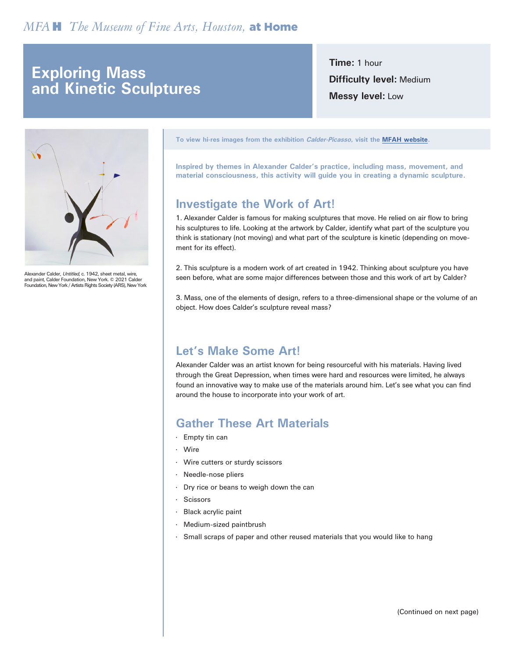### *µ˙The Museum of Fine Arts, Houston,* at Home

## **Exploring Mass and Kinetic Sculptures**

**Time:** 1 hour **Difficulty level:** Medium **Messy level:** Low



Alexander Calder, Untitled, c. 1942, sheet metal, wire, and paint, Calder Foundation, New York. © 2021 Calder Foundation, New York / Artists Rights Society (ARS), New York **To view hi-res images from the exhibition Calder-Picasso, visit the [MFAH website.](https://www.mfah.org/exhibitions/calder-picasso)**

**Inspired by themes in Alexander Calder's practice, including mass, movement, and material consciousness, this activity will guide you in creating a dynamic sculpture.**

#### **Investigate the Work of Art!**

1. Alexander Calder is famous for making sculptures that move. He relied on air flow to bring his sculptures to life. Looking at the artwork by Calder, identify what part of the sculpture you think is stationary (not moving) and what part of the sculpture is kinetic (depending on movement for its effect).

2. This sculpture is a modern work of art created in 1942. Thinking about sculpture you have seen before, what are some major differences between those and this work of art by Calder?

3. Mass, one of the elements of design, refers to a three-dimensional shape or the volume of an object. How does Calder's sculpture reveal mass?

#### **Let's Make Some Art!**

Alexander Calder was an artist known for being resourceful with his materials. Having lived through the Great Depression, when times were hard and resources were limited, he always found an innovative way to make use of the materials around him. Let's see what you can find around the house to incorporate into your work of art.

#### **Gather These Art Materials**

- · Empty tin can
- · Wire
- · Wire cutters or sturdy scissors
- Needle-nose pliers
- · Dry rice or beans to weigh down the can
- **Scissors**
- · Black acrylic paint
- · Medium-sized paintbrush
- · Small scraps of paper and other reused materials that you would like to hang